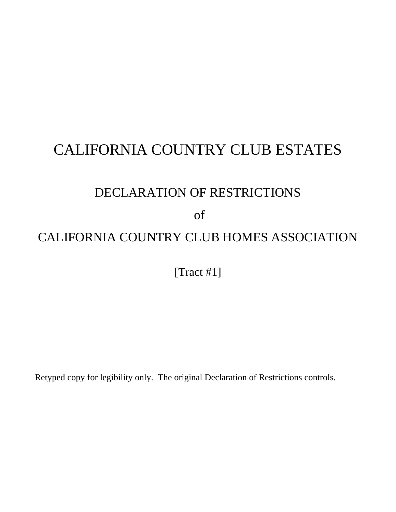# CALIFORNIA COUNTRY CLUB ESTATES

## DECLARATION OF RESTRICTIONS

of

## CALIFORNIA COUNTRY CLUB HOMES ASSOCIATION

[Tract #1]

Retyped copy for legibility only. The original Declaration of Restrictions controls.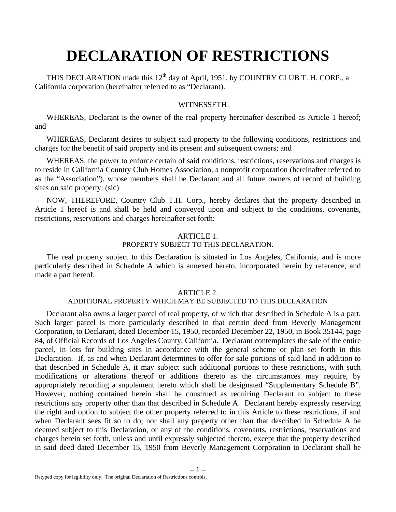# **DECLARATION OF RESTRICTIONS**

THIS DECLARATION made this  $12<sup>th</sup>$  day of April, 1951, by COUNTRY CLUB T. H. CORP., a California corporation (hereinafter referred to as "Declarant).

## WITNESSETH:

WHEREAS, Declarant is the owner of the real property hereinafter described as Article 1 hereof; and

WHEREAS, Declarant desires to subject said property to the following conditions, restrictions and charges for the benefit of said property and its present and subsequent owners; and

WHEREAS, the power to enforce certain of said conditions, restrictions, reservations and charges is to reside in California Country Club Homes Association, a nonprofit corporation (hereinafter referred to as the "Association"), whose members shall be Declarant and all future owners of record of building sites on said property: (sic)

NOW, THEREFORE, Country Club T.H. Corp., hereby declares that the property described in Article 1 hereof is and shall be held and conveyed upon and subject to the conditions, covenants, restrictions, reservations and charges hereinafter set forth:

#### ARTICLE 1. PROPERTY SUBJECT TO THIS DECLARATION.

The real property subject to this Declaration is situated in Los Angeles, California, and is more particularly described in Schedule A which is annexed hereto, incorporated herein by reference, and made a part hereof.

## ARTICLE 2.

## ADDITIONAL PROPERTY WHICH MAY BE SUBJECTED TO THIS DECLARATION

Declarant also owns a larger parcel of real property, of which that described in Schedule A is a part. Such larger parcel is more particularly described in that certain deed from Beverly Management Corporation, to Declarant, dated December 15, 1950, recorded December 22, 1950, in Book 35144, page 84, of Official Records of Los Angeles County, California. Declarant contemplates the sale of the entire parcel, in lots for building sites in accordance with the general scheme or plan set forth in this Declaration. If, as and when Declarant determines to offer for sale portions of said land in addition to that described in Schedule A, it may subject such additional portions to these restrictions, with such modifications or alterations thereof or additions thereto as the circumstances may require, by appropriately recording a supplement hereto which shall be designated "Supplementary Schedule B". However, nothing contained herein shall be construed as requiring Declarant to subject to these restrictions any property other than that described in Schedule A. Declarant hereby expressly reserving the right and option to subject the other property referred to in this Article to these restrictions, if and when Declarant sees fit so to do; nor shall any property other than that described in Schedule A be deemed subject to this Declaration, or any of the conditions, covenants, restrictions, reservations and charges herein set forth, unless and until expressly subjected thereto, except that the property described in said deed dated December 15, 1950 from Beverly Management Corporation to Declarant shall be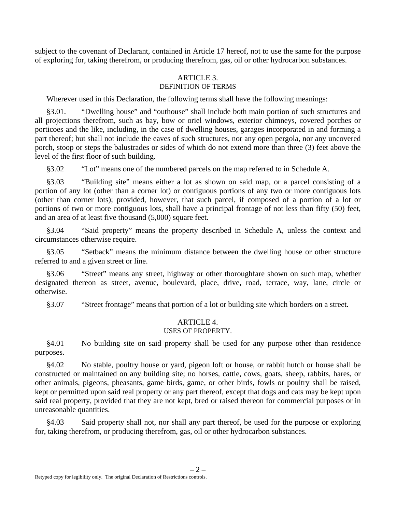subject to the covenant of Declarant, contained in Article 17 hereof, not to use the same for the purpose of exploring for, taking therefrom, or producing therefrom, gas, oil or other hydrocarbon substances.

#### ARTICLE 3. DEFINITION OF TERMS

Wherever used in this Declaration, the following terms shall have the following meanings:

§3.01. "Dwelling house" and "outhouse" shall include both main portion of such structures and all projections therefrom, such as bay, bow or oriel windows, exterior chimneys, covered porches or porticoes and the like, including, in the case of dwelling houses, garages incorporated in and forming a part thereof; but shall not include the eaves of such structures, nor any open pergola, nor any uncovered porch, stoop or steps the balustrades or sides of which do not extend more than three (3) feet above the level of the first floor of such building.

§3.02 "Lot" means one of the numbered parcels on the map referred to in Schedule A.

§3.03 "Building site" means either a lot as shown on said map, or a parcel consisting of a portion of any lot (other than a corner lot) or contiguous portions of any two or more contiguous lots (other than corner lots); provided, however, that such parcel, if composed of a portion of a lot or portions of two or more contiguous lots, shall have a principal frontage of not less than fifty (50) feet, and an area of at least five thousand (5,000) square feet.

§3.04 "Said property" means the property described in Schedule A, unless the context and circumstances otherwise require.

§3.05 "Setback" means the minimum distance between the dwelling house or other structure referred to and a given street or line.

§3.06 "Street" means any street, highway or other thoroughfare shown on such map, whether designated thereon as street, avenue, boulevard, place, drive, road, terrace, way, lane, circle or otherwise.

§3.07 "Street frontage" means that portion of a lot or building site which borders on a street.

## ARTICLE 4. USES OF PROPERTY.

§4.01 No building site on said property shall be used for any purpose other than residence purposes.

§4.02 No stable, poultry house or yard, pigeon loft or house, or rabbit hutch or house shall be constructed or maintained on any building site; no horses, cattle, cows, goats, sheep, rabbits, hares, or other animals, pigeons, pheasants, game birds, game, or other birds, fowls or poultry shall be raised, kept or permitted upon said real property or any part thereof, except that dogs and cats may be kept upon said real property, provided that they are not kept, bred or raised thereon for commercial purposes or in unreasonable quantities.

§4.03 Said property shall not, nor shall any part thereof, be used for the purpose or exploring for, taking therefrom, or producing therefrom, gas, oil or other hydrocarbon substances.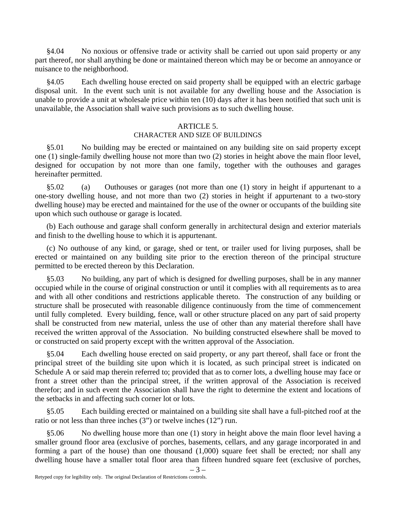§4.04 No noxious or offensive trade or activity shall be carried out upon said property or any part thereof, nor shall anything be done or maintained thereon which may be or become an annoyance or nuisance to the neighborhood.

§4.05 Each dwelling house erected on said property shall be equipped with an electric garbage disposal unit. In the event such unit is not available for any dwelling house and the Association is unable to provide a unit at wholesale price within ten (10) days after it has been notified that such unit is unavailable, the Association shall waive such provisions as to such dwelling house.

## ARTICLE 5.

## CHARACTER AND SIZE OF BUILDINGS

§5.01 No building may be erected or maintained on any building site on said property except one (1) single-family dwelling house not more than two (2) stories in height above the main floor level, designed for occupation by not more than one family, together with the outhouses and garages hereinafter permitted.

§5.02 (a) Outhouses or garages (not more than one (1) story in height if appurtenant to a one-story dwelling house, and not more than two (2) stories in height if appurtenant to a two-story dwelling house) may be erected and maintained for the use of the owner or occupants of the building site upon which such outhouse or garage is located.

(b) Each outhouse and garage shall conform generally in architectural design and exterior materials and finish to the dwelling house to which it is appurtenant.

(c) No outhouse of any kind, or garage, shed or tent, or trailer used for living purposes, shall be erected or maintained on any building site prior to the erection thereon of the principal structure permitted to be erected thereon by this Declaration.

§5.03 No building, any part of which is designed for dwelling purposes, shall be in any manner occupied while in the course of original construction or until it complies with all requirements as to area and with all other conditions and restrictions applicable thereto. The construction of any building or structure shall be prosecuted with reasonable diligence continuously from the time of commencement until fully completed. Every building, fence, wall or other structure placed on any part of said property shall be constructed from new material, unless the use of other than any material therefore shall have received the written approval of the Association. No building constructed elsewhere shall be moved to or constructed on said property except with the written approval of the Association.

§5.04 Each dwelling house erected on said property, or any part thereof, shall face or front the principal street of the building site upon which it is located, as such principal street is indicated on Schedule A or said map therein referred to; provided that as to corner lots, a dwelling house may face or front a street other than the principal street, if the written approval of the Association is received therefor; and in such event the Association shall have the right to determine the extent and locations of the setbacks in and affecting such corner lot or lots.

§5.05 Each building erected or maintained on a building site shall have a full-pitched roof at the ratio or not less than three inches (3") or twelve inches (12") run.

§5.06 No dwelling house more than one (1) story in height above the main floor level having a smaller ground floor area (exclusive of porches, basements, cellars, and any garage incorporated in and forming a part of the house) than one thousand (1,000) square feet shall be erected; nor shall any dwelling house have a smaller total floor area than fifteen hundred square feet (exclusive of porches,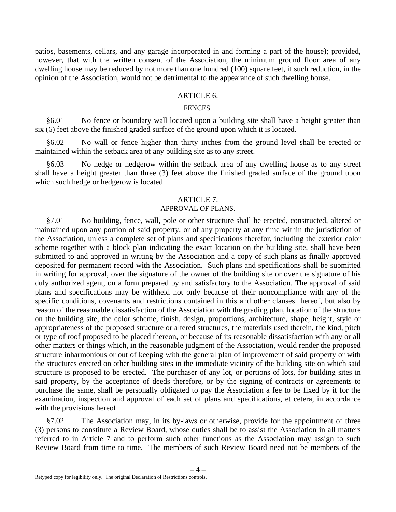patios, basements, cellars, and any garage incorporated in and forming a part of the house); provided, however, that with the written consent of the Association, the minimum ground floor area of any dwelling house may be reduced by not more than one hundred (100) square feet, if such reduction, in the opinion of the Association, would not be detrimental to the appearance of such dwelling house.

## ARTICLE 6.

## FENCES.

§6.01 No fence or boundary wall located upon a building site shall have a height greater than six (6) feet above the finished graded surface of the ground upon which it is located.

§6.02 No wall or fence higher than thirty inches from the ground level shall be erected or maintained within the setback area of any building site as to any street.

§6.03 No hedge or hedgerow within the setback area of any dwelling house as to any street shall have a height greater than three (3) feet above the finished graded surface of the ground upon which such hedge or hedgerow is located.

#### ARTICLE 7.

#### APPROVAL OF PLANS.

§7.01 No building, fence, wall, pole or other structure shall be erected, constructed, altered or maintained upon any portion of said property, or of any property at any time within the jurisdiction of the Association, unless a complete set of plans and specifications therefor, including the exterior color scheme together with a block plan indicating the exact location on the building site, shall have been submitted to and approved in writing by the Association and a copy of such plans as finally approved deposited for permanent record with the Association. Such plans and specifications shall be submitted in writing for approval, over the signature of the owner of the building site or over the signature of his duly authorized agent, on a form prepared by and satisfactory to the Association. The approval of said plans and specifications may be withheld not only because of their noncompliance with any of the specific conditions, covenants and restrictions contained in this and other clauses hereof, but also by reason of the reasonable dissatisfaction of the Association with the grading plan, location of the structure on the building site, the color scheme, finish, design, proportions, architecture, shape, height, style or appropriateness of the proposed structure or altered structures, the materials used therein, the kind, pitch or type of roof proposed to be placed thereon, or because of its reasonable dissatisfaction with any or all other matters or things which, in the reasonable judgment of the Association, would render the proposed structure inharmonious or out of keeping with the general plan of improvement of said property or with the structures erected on other building sites in the immediate vicinity of the building site on which said structure is proposed to be erected. The purchaser of any lot, or portions of lots, for building sites in said property, by the acceptance of deeds therefore, or by the signing of contracts or agreements to purchase the same, shall be personally obligated to pay the Association a fee to be fixed by it for the examination, inspection and approval of each set of plans and specifications, et cetera, in accordance with the provisions hereof.

§7.02 The Association may, in its by-laws or otherwise, provide for the appointment of three (3) persons to constitute a Review Board, whose duties shall be to assist the Association in all matters referred to in Article 7 and to perform such other functions as the Association may assign to such Review Board from time to time. The members of such Review Board need not be members of the

 $-4-$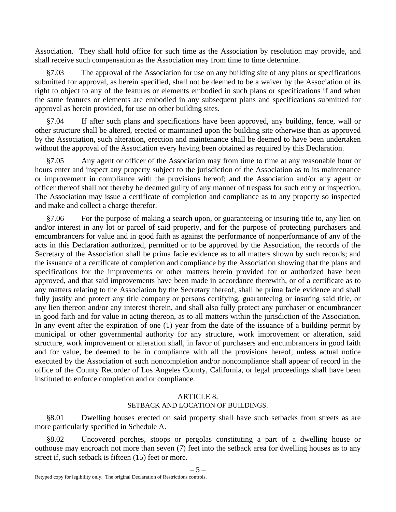Association. They shall hold office for such time as the Association by resolution may provide, and shall receive such compensation as the Association may from time to time determine.

§7.03 The approval of the Association for use on any building site of any plans or specifications submitted for approval, as herein specified, shall not be deemed to be a waiver by the Association of its right to object to any of the features or elements embodied in such plans or specifications if and when the same features or elements are embodied in any subsequent plans and specifications submitted for approval as herein provided, for use on other building sites.

§7.04 If after such plans and specifications have been approved, any building, fence, wall or other structure shall be altered, erected or maintained upon the building site otherwise than as approved by the Association, such alteration, erection and maintenance shall be deemed to have been undertaken without the approval of the Association every having been obtained as required by this Declaration.

§7.05 Any agent or officer of the Association may from time to time at any reasonable hour or hours enter and inspect any property subject to the jurisdiction of the Association as to its maintenance or improvement in compliance with the provisions hereof; and the Association and/or any agent or officer thereof shall not thereby be deemed guilty of any manner of trespass for such entry or inspection. The Association may issue a certificate of completion and compliance as to any property so inspected and make and collect a charge therefor.

§7.06 For the purpose of making a search upon, or guaranteeing or insuring title to, any lien on and/or interest in any lot or parcel of said property, and for the purpose of protecting purchasers and emcumbrancers for value and in good faith as against the performance of nonperformance of any of the acts in this Declaration authorized, permitted or to be approved by the Association, the records of the Secretary of the Association shall be prima facie evidence as to all matters shown by such records; and the issuance of a certificate of completion and compliance by the Association showing that the plans and specifications for the improvements or other matters herein provided for or authorized have been approved, and that said improvements have been made in accordance therewith, or of a certificate as to any matters relating to the Association by the Secretary thereof, shall be prima facie evidence and shall fully justify and protect any title company or persons certifying, guaranteeing or insuring said title, or any lien thereon and/or any interest therein, and shall also fully protect any purchaser or encumbrancer in good faith and for value in acting thereon, as to all matters within the jurisdiction of the Association. In any event after the expiration of one (1) year from the date of the issuance of a building permit by municipal or other governmental authority for any structure, work improvement or alteration, said structure, work improvement or alteration shall, in favor of purchasers and encumbrancers in good faith and for value, be deemed to be in compliance with all the provisions hereof, unless actual notice executed by the Association of such noncompletion and/or noncompliance shall appear of record in the office of the County Recorder of Los Angeles County, California, or legal proceedings shall have been instituted to enforce completion and or compliance.

## ARTICLE 8.

## SETBACK AND LOCATION OF BUILDINGS.

§8.01 Dwelling houses erected on said property shall have such setbacks from streets as are more particularly specified in Schedule A.

§8.02 Uncovered porches, stoops or pergolas constituting a part of a dwelling house or outhouse may encroach not more than seven (7) feet into the setback area for dwelling houses as to any street if, such setback is fifteen (15) feet or more.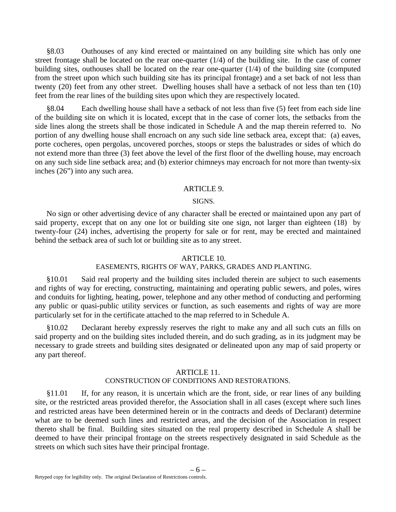§8.03 Outhouses of any kind erected or maintained on any building site which has only one street frontage shall be located on the rear one-quarter (1/4) of the building site. In the case of corner building sites, outhouses shall be located on the rear one-quarter (1/4) of the building site (computed from the street upon which such building site has its principal frontage) and a set back of not less than twenty (20) feet from any other street. Dwelling houses shall have a setback of not less than ten (10) feet from the rear lines of the building sites upon which they are respectively located.

§8.04 Each dwelling house shall have a setback of not less than five (5) feet from each side line of the building site on which it is located, except that in the case of corner lots, the setbacks from the side lines along the streets shall be those indicated in Schedule A and the map therein referred to. No portion of any dwelling house shall encroach on any such side line setback area, except that: (a) eaves, porte cocheres, open pergolas, uncovered porches, stoops or steps the balustrades or sides of which do not extend more than three (3) feet above the level of the first floor of the dwelling house, may encroach on any such side line setback area; and (b) exterior chimneys may encroach for not more than twenty-six inches (26") into any such area.

#### ARTICLE 9.

#### SIGNS.

No sign or other advertising device of any character shall be erected or maintained upon any part of said property, except that on any one lot or building site one sign, not larger than eighteen (18) by twenty-four (24) inches, advertising the property for sale or for rent, may be erected and maintained behind the setback area of such lot or building site as to any street.

#### ARTICLE 10.

## EASEMENTS, RIGHTS OF WAY, PARKS, GRADES AND PLANTING.

§10.01 Said real property and the building sites included therein are subject to such easements and rights of way for erecting, constructing, maintaining and operating public sewers, and poles, wires and conduits for lighting, heating, power, telephone and any other method of conducting and performing any public or quasi-public utility services or function, as such easements and rights of way are more particularly set for in the certificate attached to the map referred to in Schedule A.

§10.02 Declarant hereby expressly reserves the right to make any and all such cuts an fills on said property and on the building sites included therein, and do such grading, as in its judgment may be necessary to grade streets and building sites designated or delineated upon any map of said property or any part thereof.

#### ARTICLE 11.

## CONSTRUCTION OF CONDITIONS AND RESTORATIONS.

§11.01 If, for any reason, it is uncertain which are the front, side, or rear lines of any building site, or the restricted areas provided therefor, the Association shall in all cases (except where such lines and restricted areas have been determined herein or in the contracts and deeds of Declarant) determine what are to be deemed such lines and restricted areas, and the decision of the Association in respect thereto shall be final. Building sites situated on the real property described in Schedule A shall be deemed to have their principal frontage on the streets respectively designated in said Schedule as the streets on which such sites have their principal frontage.

 $-6-$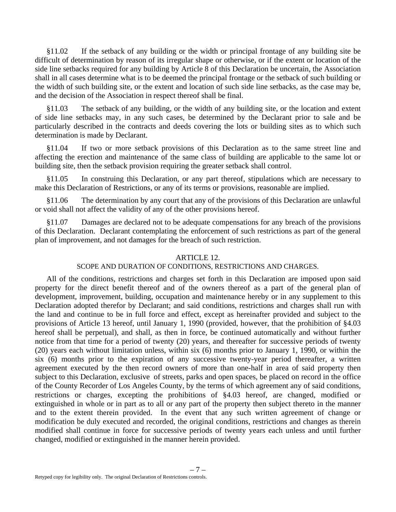§11.02 If the setback of any building or the width or principal frontage of any building site be difficult of determination by reason of its irregular shape or otherwise, or if the extent or location of the side line setbacks required for any building by Article 8 of this Declaration be uncertain, the Association shall in all cases determine what is to be deemed the principal frontage or the setback of such building or the width of such building site, or the extent and location of such side line setbacks, as the case may be, and the decision of the Association in respect thereof shall be final.

§11.03 The setback of any building, or the width of any building site, or the location and extent of side line setbacks may, in any such cases, be determined by the Declarant prior to sale and be particularly described in the contracts and deeds covering the lots or building sites as to which such determination is made by Declarant.

§11.04 If two or more setback provisions of this Declaration as to the same street line and affecting the erection and maintenance of the same class of building are applicable to the same lot or building site, then the setback provision requiring the greater setback shall control.

§11.05 In construing this Declaration, or any part thereof, stipulations which are necessary to make this Declaration of Restrictions, or any of its terms or provisions, reasonable are implied.

§11.06 The determination by any court that any of the provisions of this Declaration are unlawful or void shall not affect the validity of any of the other provisions hereof.

§11.07 Damages are declared not to be adequate compensations for any breach of the provisions of this Declaration. Declarant contemplating the enforcement of such restrictions as part of the general plan of improvement, and not damages for the breach of such restriction.

#### ARTICLE 12.

## SCOPE AND DURATION OF CONDITIONS, RESTRICTIONS AND CHARGES.

All of the conditions, restrictions and charges set forth in this Declaration are imposed upon said property for the direct benefit thereof and of the owners thereof as a part of the general plan of development, improvement, building, occupation and maintenance hereby or in any supplement to this Declaration adopted therefor by Declarant; and said conditions, restrictions and charges shall run with the land and continue to be in full force and effect, except as hereinafter provided and subject to the provisions of Article 13 hereof, until January 1, 1990 (provided, however, that the prohibition of §4.03 hereof shall be perpetual), and shall, as then in force, be continued automatically and without further notice from that time for a period of twenty (20) years, and thereafter for successive periods of twenty (20) years each without limitation unless, within six (6) months prior to January 1, 1990, or within the six (6) months prior to the expiration of any successive twenty-year period thereafter, a written agreement executed by the then record owners of more than one-half in area of said property then subject to this Declaration, exclusive of streets, parks and open spaces, be placed on record in the office of the County Recorder of Los Angeles County, by the terms of which agreement any of said conditions, restrictions or charges, excepting the prohibitions of §4.03 hereof, are changed, modified or extinguished in whole or in part as to all or any part of the property then subject thereto in the manner and to the extent therein provided. In the event that any such written agreement of change or modification be duly executed and recorded, the original conditions, restrictions and changes as therein modified shall continue in force for successive periods of twenty years each unless and until further changed, modified or extinguished in the manner herein provided.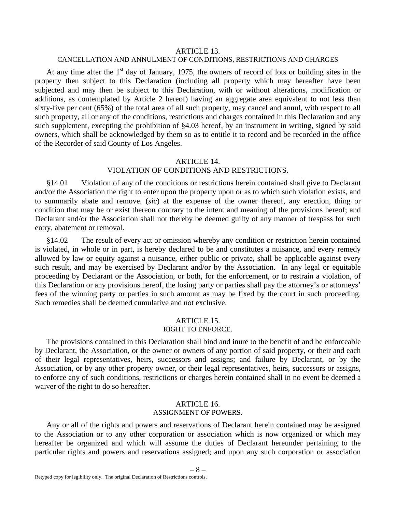#### ARTICLE 13.

#### CANCELLATION AND ANNULMENT OF CONDITIONS, RESTRICTIONS AND CHARGES

At any time after the  $1<sup>st</sup>$  day of January, 1975, the owners of record of lots or building sites in the property then subject to this Declaration (including all property which may hereafter have been subjected and may then be subject to this Declaration, with or without alterations, modification or additions, as contemplated by Article 2 hereof) having an aggregate area equivalent to not less than sixty-five per cent (65%) of the total area of all such property, may cancel and annul, with respect to all such property, all or any of the conditions, restrictions and charges contained in this Declaration and any such supplement, excepting the prohibition of §4.03 hereof, by an instrument in writing, signed by said owners, which shall be acknowledged by them so as to entitle it to record and be recorded in the office of the Recorder of said County of Los Angeles.

## ARTICLE 14. VIOLATION OF CONDITIONS AND RESTRICTIONS.

§14.01 Violation of any of the conditions or restrictions herein contained shall give to Declarant and/or the Association the right to enter upon the property upon or as to which such violation exists, and to summarily abate and remove. (*sic*) at the expense of the owner thereof, any erection, thing or condition that may be or exist thereon contrary to the intent and meaning of the provisions hereof; and Declarant and/or the Association shall not thereby be deemed guilty of any manner of trespass for such entry, abatement or removal.

§14.02 The result of every act or omission whereby any condition or restriction herein contained is violated, in whole or in part, is hereby declared to be and constitutes a nuisance, and every remedy allowed by law or equity against a nuisance, either public or private, shall be applicable against every such result, and may be exercised by Declarant and/or by the Association. In any legal or equitable proceeding by Declarant or the Association, or both, for the enforcement, or to restrain a violation, of this Declaration or any provisions hereof, the losing party or parties shall pay the attorney's or attorneys' fees of the winning party or parties in such amount as may be fixed by the court in such proceeding. Such remedies shall be deemed cumulative and not exclusive.

## ARTICLE 15.

## RIGHT TO ENFORCE.

The provisions contained in this Declaration shall bind and inure to the benefit of and be enforceable by Declarant, the Association, or the owner or owners of any portion of said property, or their and each of their legal representatives, heirs, successors and assigns; and failure by Declarant, or by the Association, or by any other property owner, or their legal representatives, heirs, successors or assigns, to enforce any of such conditions, restrictions or charges herein contained shall in no event be deemed a waiver of the right to do so hereafter.

#### ARTICLE 16. ASSIGNMENT OF POWERS.

Any or all of the rights and powers and reservations of Declarant herein contained may be assigned to the Association or to any other corporation or association which is now organized or which may hereafter be organized and which will assume the duties of Declarant hereunder pertaining to the particular rights and powers and reservations assigned; and upon any such corporation or association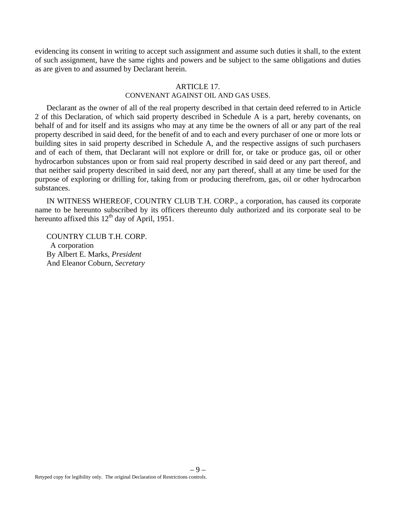evidencing its consent in writing to accept such assignment and assume such duties it shall, to the extent of such assignment, have the same rights and powers and be subject to the same obligations and duties as are given to and assumed by Declarant herein.

## ARTICLE 17

## CONVENANT AGAINST OIL AND GAS USES.

Declarant as the owner of all of the real property described in that certain deed referred to in Article 2 of this Declaration, of which said property described in Schedule A is a part, hereby covenants, on behalf of and for itself and its assigns who may at any time be the owners of all or any part of the real property described in said deed, for the benefit of and to each and every purchaser of one or more lots or building sites in said property described in Schedule A, and the respective assigns of such purchasers and of each of them, that Declarant will not explore or drill for, or take or produce gas, oil or other hydrocarbon substances upon or from said real property described in said deed or any part thereof, and that neither said property described in said deed, nor any part thereof, shall at any time be used for the purpose of exploring or drilling for, taking from or producing therefrom, gas, oil or other hydrocarbon substances.

IN WITNESS WHEREOF, COUNTRY CLUB T.H. CORP., a corporation, has caused its corporate name to be hereunto subscribed by its officers thereunto duly authorized and its corporate seal to be hereunto affixed this  $12<sup>th</sup>$  day of April, 1951.

COUNTRY CLUB T.H. CORP. A corporation By Albert E. Marks, *President* And Eleanor Coburn, *Secretary*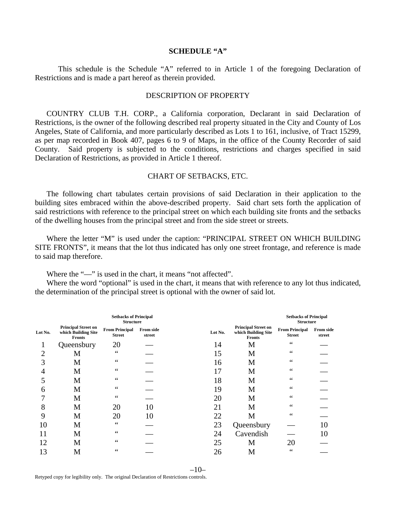#### **SCHEDULE "A"**

 This schedule is the Schedule "A" referred to in Article 1 of the foregoing Declaration of Restrictions and is made a part hereof as therein provided.

#### DESCRIPTION OF PROPERTY

COUNTRY CLUB T.H. CORP., a California corporation, Declarant in said Declaration of Restrictions, is the owner of the following described real property situated in the City and County of Los Angeles, State of California, and more particularly described as Lots 1 to 161, inclusive, of Tract 15299, as per map recorded in Book 407, pages 6 to 9 of Maps, in the office of the County Recorder of said County. Said property is subjected to the conditions, restrictions and charges specified in said Declaration of Restrictions, as provided in Article 1 thereof.

#### CHART OF SETBACKS, ETC.

The following chart tabulates certain provisions of said Declaration in their application to the building sites embraced within the above-described property. Said chart sets forth the application of said restrictions with reference to the principal street on which each building site fronts and the setbacks of the dwelling houses from the principal street and from the side street or streets.

Where the letter "M" is used under the caption: "PRINCIPAL STREET ON WHICH BUILDING SITE FRONTS", it means that the lot thus indicated has only one street frontage, and reference is made to said map therefore.

Where the "-" is used in the chart, it means "not affected".

Where the word "optional" is used in the chart, it means that with reference to any lot thus indicated, the determination of the principal street is optional with the owner of said lot.

| <b>Setbacks of Principal</b><br><b>Structure</b> |                                                                    |                                        |                            |         |                                                                    | <b>Setbacks of Principal</b><br><b>Structure</b> |                     |  |
|--------------------------------------------------|--------------------------------------------------------------------|----------------------------------------|----------------------------|---------|--------------------------------------------------------------------|--------------------------------------------------|---------------------|--|
| Lot No.                                          | <b>Principal Street on</b><br>which Building Site<br><b>Fronts</b> | <b>From Principal</b><br><b>Street</b> | <b>From side</b><br>street | Lot No. | <b>Principal Street on</b><br>which Building Site<br><b>Fronts</b> | <b>From Principal</b><br><b>Street</b>           | From side<br>street |  |
|                                                  | Queensbury                                                         | 20                                     |                            | 14      | M                                                                  | $\zeta$ $\zeta$                                  |                     |  |
| $\overline{2}$                                   | M                                                                  | $\zeta$ $\zeta$                        |                            | 15      | M                                                                  | $\zeta$ $\zeta$                                  |                     |  |
| 3                                                | M                                                                  | $\zeta$ $\zeta$                        |                            | 16      | M                                                                  | $\zeta$ $\zeta$                                  |                     |  |
| 4                                                | M                                                                  | $\zeta$ $\zeta$                        |                            | 17      | M                                                                  | $\zeta$ $\zeta$                                  |                     |  |
|                                                  | M                                                                  | $\zeta$ $\zeta$                        |                            | 18      | M                                                                  | $\zeta$ $\zeta$                                  |                     |  |
| 6                                                | M                                                                  | $\zeta$ $\zeta$                        |                            | 19      | M                                                                  | $\zeta$ $\zeta$                                  |                     |  |
|                                                  | M                                                                  | $\zeta$ $\zeta$                        |                            | 20      | M                                                                  | 66                                               |                     |  |
| 8                                                | M                                                                  | 20                                     | 10                         | 21      | M                                                                  | $\zeta$ $\zeta$                                  |                     |  |
| 9                                                | M                                                                  | 20                                     | 10                         | 22      | M                                                                  | $\zeta$ $\zeta$                                  |                     |  |
| 10                                               | M                                                                  | $\zeta$ $\zeta$                        |                            | 23      | Queensbury                                                         |                                                  | 10                  |  |
|                                                  | M                                                                  | $\zeta$ $\zeta$                        |                            | 24      | Cavendish                                                          |                                                  | 10                  |  |
| 12                                               | M                                                                  | $\zeta$ $\zeta$                        |                            | 25      | M                                                                  | 20                                               |                     |  |
| 13                                               | M                                                                  | 66                                     |                            | 26      | M                                                                  | $\zeta$ $\zeta$                                  |                     |  |

 $-10-$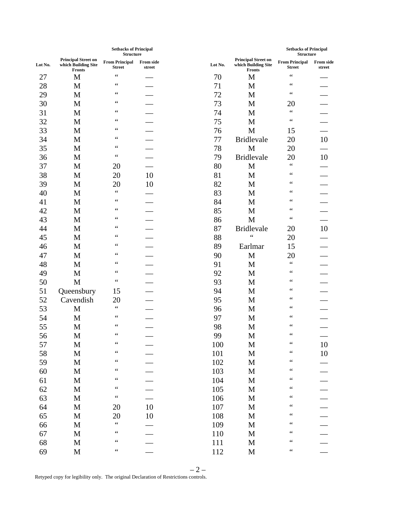|         |                                                                    | <b>Setbacks of Principal</b><br><b>Structure</b> |                            |         |                                                                    | <b>Setbacks of Principal</b><br><b>Structure</b> |                            |
|---------|--------------------------------------------------------------------|--------------------------------------------------|----------------------------|---------|--------------------------------------------------------------------|--------------------------------------------------|----------------------------|
| Lot No. | <b>Principal Street on</b><br>which Building Site<br><b>Fronts</b> | <b>From Principal</b><br><b>Street</b>           | <b>From side</b><br>street | Lot No. | <b>Principal Street on</b><br>which Building Site<br><b>Fronts</b> | <b>From Principal</b><br><b>Street</b>           | <b>From side</b><br>street |
| 27      | $\mathbf M$                                                        | $\zeta$ $\zeta$                                  |                            | 70      | $\mathbf{M}$                                                       | $\zeta$ $\zeta$                                  |                            |
| 28      | $\mathbf{M}$                                                       | $\zeta$ $\zeta$                                  |                            | 71      | $\mathbf M$                                                        | $\zeta$ $\zeta$                                  |                            |
| 29      | M                                                                  | $\zeta$ $\zeta$                                  |                            | 72      | M                                                                  | $\zeta$ $\zeta$                                  |                            |
| 30      | M                                                                  | $\zeta$ $\zeta$                                  |                            | 73      | $\mathbf M$                                                        | 20                                               |                            |
| 31      | M                                                                  | $\zeta$ $\zeta$                                  |                            | 74      | $\mathbf M$                                                        | $\zeta$ $\zeta$                                  |                            |
| 32      | M                                                                  | $\zeta$ $\zeta$                                  |                            | 75      | $\mathbf M$                                                        | $\zeta$ $\zeta$                                  |                            |
| 33      | M                                                                  | $\zeta$ $\zeta$                                  |                            | 76      | $\mathbf M$                                                        | 15                                               |                            |
| 34      | M                                                                  | $\zeta$ $\zeta$                                  |                            | 77      | <b>Bridlevale</b>                                                  | 20                                               | 10                         |
| 35      | M                                                                  | $\zeta$ $\zeta$                                  |                            | 78      | $\mathbf M$                                                        | 20                                               |                            |
| 36      | $\mathbf M$                                                        | $\zeta$ $\zeta$                                  |                            | 79      | <b>Bridlevale</b>                                                  | 20                                               | $10\,$                     |
| 37      | M                                                                  | 20                                               |                            | 80      | M                                                                  | $\zeta$ $\zeta$                                  |                            |
| 38      | M                                                                  | 20                                               | 10                         | 81      | $\mathbf M$                                                        | $\zeta$ $\zeta$                                  |                            |
| 39      | M                                                                  | 20                                               | 10                         | 82      | $\mathbf M$                                                        | $\zeta$ $\zeta$                                  |                            |
| 40      | M                                                                  | $\zeta$ $\zeta$                                  |                            | 83      | $\mathbf M$                                                        | $\zeta$ $\zeta$                                  |                            |
| 41      | M                                                                  | $\zeta$ $\zeta$                                  |                            | 84      | $\mathbf M$                                                        | $\zeta$ $\zeta$                                  |                            |
| 42      | M                                                                  | $\zeta$ $\zeta$                                  |                            | 85      | $\mathbf M$                                                        | $\zeta$ $\zeta$                                  |                            |
| 43      | $\mathbf M$                                                        | $\zeta$ $\zeta$                                  |                            | 86      | $\mathbf M$                                                        | $\zeta$ $\zeta$                                  |                            |
| 44      | M                                                                  | $\zeta$ $\zeta$                                  |                            | 87      | <b>Bridlevale</b>                                                  | 20                                               | $10\,$                     |
| 45      | M                                                                  | $\zeta$ $\zeta$                                  |                            | 88      | $\zeta$ $\zeta$                                                    | 20                                               |                            |
| 46      | $\mathbf M$                                                        | $\zeta$ $\zeta$                                  |                            | 89      | Earlmar                                                            | 15                                               |                            |
| 47      | M                                                                  | $\zeta$ $\zeta$                                  |                            | 90      | $\mathbf M$                                                        | 20                                               |                            |
| 48      | $\mathbf M$                                                        | $\zeta$ $\zeta$                                  |                            | 91      | $\mathbf M$                                                        | $\zeta$ $\zeta$                                  |                            |
| 49      | $\mathbf M$                                                        | $\zeta$ $\zeta$                                  |                            | 92      | $\mathbf M$                                                        | $\zeta$ $\zeta$                                  |                            |
| 50      | $\mathbf M$                                                        | $\zeta$ $\zeta$                                  |                            | 93      | $\mathbf M$                                                        | $\zeta$ $\zeta$                                  |                            |
| 51      | Queensbury                                                         | 15                                               |                            | 94      | $\mathbf M$                                                        | $\zeta$ $\zeta$                                  |                            |
| 52      | Cavendish                                                          | 20                                               |                            | 95      | $\mathbf{M}$                                                       | $\zeta$ $\zeta$                                  |                            |
| 53      | $\mathbf M$                                                        | $\zeta$ $\zeta$                                  |                            | 96      | $\mathbf M$                                                        | $\zeta$ $\zeta$                                  |                            |
| 54      | M                                                                  | $\zeta$ $\zeta$                                  |                            | 97      | $\mathbf M$                                                        | $\zeta\,\zeta$                                   |                            |
| 55      | M                                                                  | $\zeta$ $\zeta$                                  |                            | 98      | $\mathbf M$                                                        | $\zeta$ $\zeta$                                  |                            |
| 56      | M                                                                  | $\zeta$ $\zeta$                                  |                            | 99      | M                                                                  | $\zeta$ $\zeta$                                  |                            |
| 57      | M                                                                  | $\zeta$ $\zeta$                                  |                            | 100     | $\mathbf{M}$                                                       | $\zeta\,\zeta$                                   | $10\,$                     |
| 58      | $\mathbf M$                                                        | $\zeta$ $\zeta$                                  |                            | 101     | $\mathbf M$                                                        | $\zeta$ $\zeta$                                  | $10\,$                     |
| 59      | $\mathbf M$                                                        | $\zeta$ $\zeta$                                  |                            | 102     | $\mathbf M$                                                        | $\zeta$ $\zeta$                                  |                            |
| 60      | $\mathbf M$                                                        | $\zeta$ $\zeta$                                  |                            | 103     | $\mathbf M$                                                        | $\zeta$ $\zeta$                                  |                            |
| 61      | $\mathbf M$                                                        | $\zeta$ $\zeta$                                  |                            | 104     | $\mathbf M$                                                        | $\zeta$ $\zeta$                                  |                            |
| 62      | $\mathbf M$                                                        | $\zeta$ $\zeta$                                  |                            | 105     | $\mathbf M$                                                        | $\zeta$ $\zeta$                                  |                            |
| 63      | $\mathbf M$                                                        | $\zeta$ $\zeta$                                  |                            | 106     | $\mathbf M$                                                        | $\zeta$ $\zeta$                                  |                            |
| 64      | M                                                                  | 20                                               | $10\,$                     | 107     | $\mathbf{M}$                                                       | $\zeta$ $\zeta$                                  |                            |
| 65      | $\mathbf M$                                                        | 20                                               | 10                         | 108     | $\mathbf M$                                                        | $\zeta$ $\zeta$                                  |                            |
| 66      | $\mathbf M$                                                        | $\zeta$ $\zeta$                                  |                            | 109     | $\mathbf M$                                                        | $\zeta$ $\zeta$                                  |                            |
| 67      | $\mathbf M$                                                        | $\zeta$ $\zeta$                                  |                            | 110     | $\mathbf M$                                                        | $\zeta$ $\zeta$                                  |                            |
| 68      | $\mathbf M$                                                        | $\zeta$ $\zeta$                                  |                            | 111     | $\mathbf M$                                                        | $\zeta$ $\zeta$                                  |                            |
| 69      | $\mathbf M$                                                        | $\zeta$ $\zeta$                                  |                            | 112     | $\mathbf M$                                                        | $\zeta$ $\zeta$                                  |                            |
|         |                                                                    |                                                  |                            |         |                                                                    |                                                  |                            |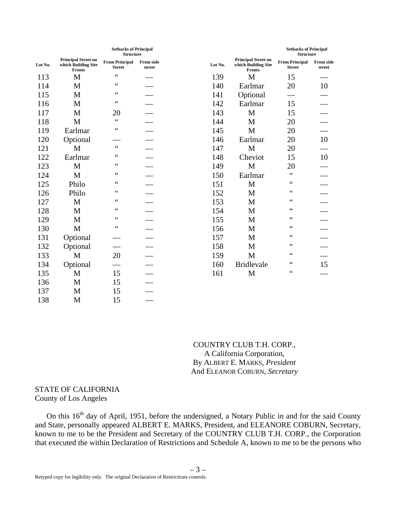|         | <b>Setbacks of Principal</b><br><b>Structure</b>                   |                                        |                            |         |                                                                    | <b>Setbacks of Principal</b><br><b>Structure</b> |                            |
|---------|--------------------------------------------------------------------|----------------------------------------|----------------------------|---------|--------------------------------------------------------------------|--------------------------------------------------|----------------------------|
| Lot No. | <b>Principal Street on</b><br>which Building Site<br><b>Fronts</b> | <b>From Principal</b><br><b>Street</b> | <b>From side</b><br>street | Lot No. | <b>Principal Street on</b><br>which Building Site<br><b>Fronts</b> | <b>From Principal</b><br><b>Street</b>           | <b>From side</b><br>street |
| 113     | M                                                                  | $\zeta$ $\zeta$                        |                            | 139     | M                                                                  | 15                                               |                            |
| 114     | M                                                                  | $\zeta$ $\zeta$                        |                            | 140     | Earlmar                                                            | 20                                               | 10                         |
| 115     | M                                                                  | $\zeta$ $\zeta$                        |                            | 141     | Optional                                                           |                                                  |                            |
| 116     | M                                                                  | $\zeta$ $\zeta$                        |                            | 142     | Earlmar                                                            | 15                                               |                            |
| 117     | M                                                                  | 20                                     |                            | 143     | M                                                                  | 15                                               |                            |
| 118     | M                                                                  | $\zeta$ $\zeta$                        |                            | 144     | M                                                                  | 20                                               |                            |
| 119     | Earlmar                                                            | $\zeta$ $\zeta$                        |                            | 145     | M                                                                  | 20                                               |                            |
| 120     | Optional                                                           |                                        |                            | 146     | Earlmar                                                            | 20                                               | 10                         |
| 121     | M                                                                  | $\zeta$ $\zeta$                        |                            | 147     | $\mathbf M$                                                        | 20                                               |                            |
| 122     | Earlmar                                                            | $\zeta$ $\zeta$                        |                            | 148     | Cheviot                                                            | 15                                               | 10                         |
| 123     | M                                                                  | $\zeta$ $\zeta$                        |                            | 149     | M                                                                  | 20                                               |                            |
| 124     | M                                                                  | $\zeta$ $\zeta$                        |                            | 150     | Earlmar                                                            | $\zeta$ $\zeta$                                  |                            |
| 125     | Philo                                                              | $\zeta$ $\zeta$                        |                            | 151     | M                                                                  | $\zeta$ $\zeta$                                  |                            |
| 126     | Philo                                                              | $\zeta$ $\zeta$                        |                            | 152     | M                                                                  | $\zeta$ $\zeta$                                  |                            |
| 127     | M                                                                  | $\zeta$ $\zeta$                        |                            | 153     | M                                                                  | $\zeta$ $\zeta$                                  |                            |
| 128     | M                                                                  | $\zeta$ $\zeta$                        |                            | 154     | M                                                                  | $\zeta$ $\zeta$                                  |                            |
| 129     | M                                                                  | $\zeta$ $\zeta$                        |                            | 155     | M                                                                  | $\zeta$ $\zeta$                                  |                            |
| 130     | M                                                                  | $\leq \leq$                            |                            | 156     | M                                                                  | $\zeta$ $\zeta$                                  |                            |
| 131     | Optional                                                           |                                        |                            | 157     | M                                                                  | $\zeta$ $\zeta$                                  |                            |
| 132     | Optional                                                           |                                        |                            | 158     | M                                                                  | $\zeta$ $\zeta$                                  |                            |
| 133     | M                                                                  | 20                                     |                            | 159     | M                                                                  | $\zeta$ $\zeta$                                  |                            |
| 134     | Optional                                                           |                                        |                            | 160     | <b>Bridlevale</b>                                                  | $\zeta$ $\zeta$                                  | 15                         |
| 135     | M                                                                  | 15                                     |                            | 161     | M                                                                  | $\zeta$ $\zeta$                                  |                            |
| 136     | M                                                                  | 15                                     |                            |         |                                                                    |                                                  |                            |
| 137     | M                                                                  | 15                                     |                            |         |                                                                    |                                                  |                            |
| 138     | M                                                                  | 15                                     |                            |         |                                                                    |                                                  |                            |

COUNTRY CLUB T.H. CORP., A California Corporation, By ALBERT E. MARKS, *President* And ELEANOR COBURN, *Secretary*

## STATE OF CALIFORNIA County of Los Angeles

On this 16<sup>th</sup> day of April, 1951, before the undersigned, a Notary Public in and for the said County and State, personally appeared ALBERT E. MARKS, President, and ELEANORE COBURN, Secretary, known to me to be the President and Secretary of the COUNTRY CLUB T.H. CORP., the Corporation that executed the within Declaration of Restrictions and Schedule A, known to me to be the persons who